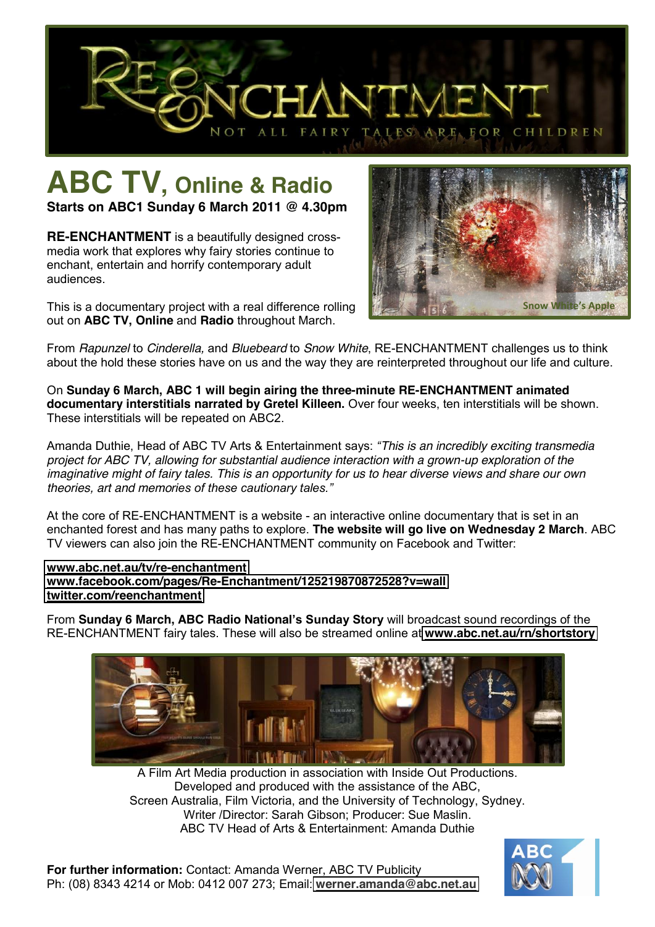

# **ABC TV, Online & Radio**

**Starts on ABC1 Sunday 6 March 2011 @ 4.30pm**

**RE-ENCHANTMENT** is a beautifully designed crossmedia work that explores why fairy stories continue to enchant, entertain and horrify contemporary adult audiences.

This is a documentary project with a real difference rolling out on **ABC TV, Online** and **Radio** throughout March.



From *Rapunzel* to *Cinderella,* and *Bluebeard* to *Snow White*, RE-ENCHANTMENT challenges us to think about the hold these stories have on us and the way they are reinterpreted throughout our life and culture.

On **Sunday 6 March, ABC 1 will begin airing the three-minute RE-ENCHANTMENT animated documentary interstitials narrated by Gretel Killeen.** Over four weeks, ten interstitials will be shown. These interstitials will be repeated on ABC2.

Amanda Duthie, Head of ABC TV Arts & Entertainment says: *³This is an incredibly exciting transmedia project for ABC TV, allowing for substantial audience interaction with a grown-up exploration of the imaginative might of fairy tales. This is an opportunity for us to hear diverse views and share our own theories, art and memories of these cautionary tales.*"

At the core of RE-ENCHANTMENT is a website - an interactive online documentary that is set in an enchanted forest and has many paths to explore. **The website will go live on Wednesday 2 March**. ABC TV viewers can also join the RE-ENCHANTMENT community on Facebook and Twitter:

#### **[www.abc.net.au/tv/re-enchantment](http://www.abc.net.au/tv/re-enchantment) [www.facebook.com/pages/Re-Enchantment/125219870872528?v=wall](http://www.facebook.com/pages/Re-Enchantment/125219870872528?v=wall) [twitter.com/reenchantment](http://twitter.com/reenchantment)**

From Sunday 6 March, ABC Radio National's Sunday Story will broadcast sound recordings of the RE-ENCHANTMENT fairy tales. These will also be streamed online at **[www.abc.net.au/rn/shortstory](http://www.abc.net.au/rn/shortstory)**



A Film Art Media production in association with Inside Out Productions. Developed and produced with the assistance of the ABC, Screen Australia, Film Victoria, and the University of Technology, Sydney. Writer /Director: Sarah Gibson; Producer: Sue Maslin. ABC TV Head of Arts & Entertainment: Amanda Duthie